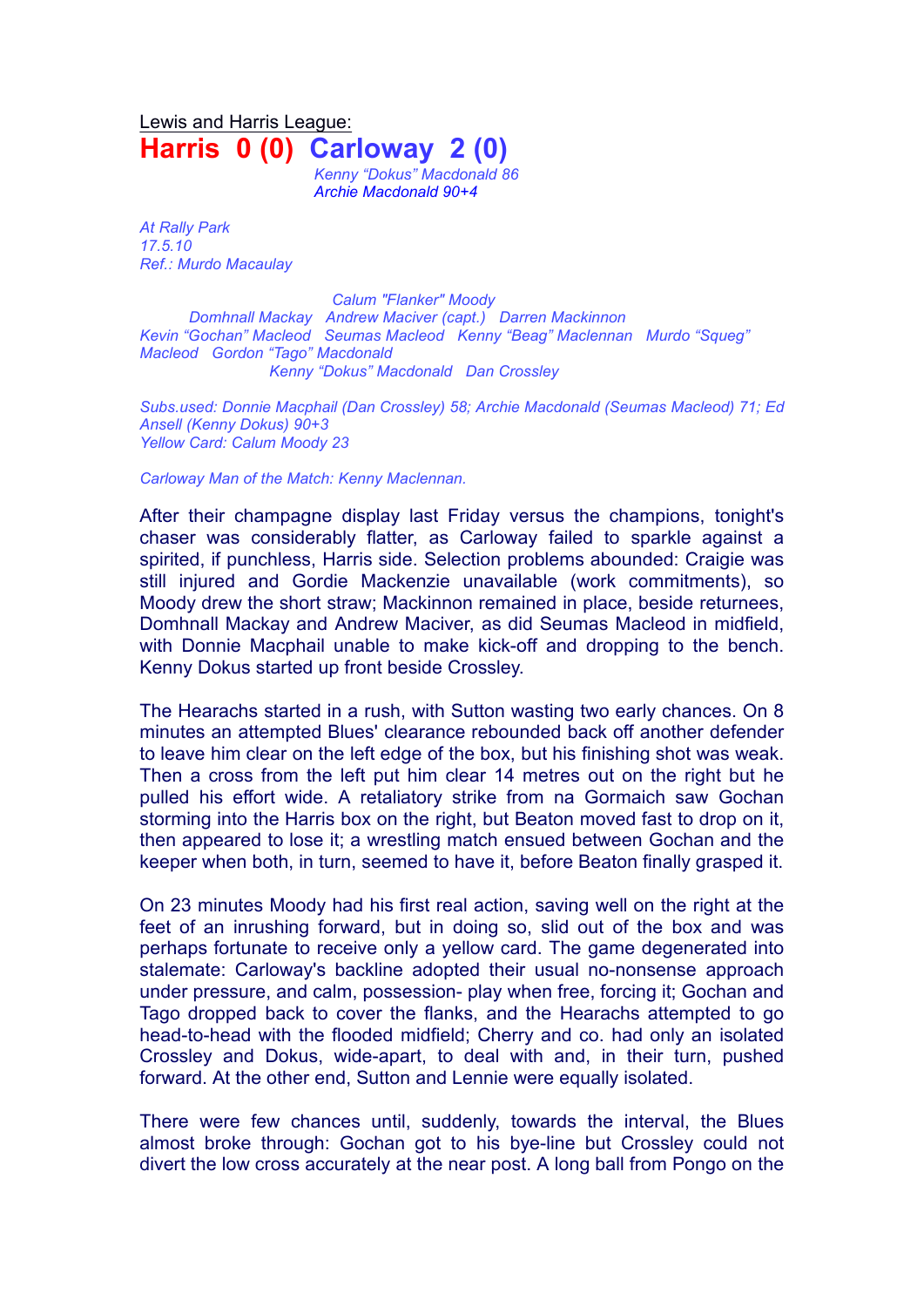Lewis and Harris League: **Harris 0 (0) Carloway 2 (0)**

*Kenny "Dokus" Macdonald 86 Archie Macdonald 90+4*

*At Rally Park 17.5.10 Ref.: Murdo Macaulay*

*Calum "Flanker" Moody Domhnall Mackay Andrew Maciver (capt.) Darren Mackinnon Kevin "Gochan" Macleod Seumas Macleod Kenny "Beag" Maclennan Murdo "Squeg" Macleod Gordon "Tago" Macdonald Kenny "Dokus" Macdonald Dan Crossley*

*Subs.used: Donnie Macphail (Dan Crossley) 58; Archie Macdonald (Seumas Macleod) 71; Ed Ansell (Kenny Dokus) 90+3 Yellow Card: Calum Moody 23*

*Carloway Man of the Match: Kenny Maclennan.* 

After their champagne display last Friday versus the champions, tonight's chaser was considerably flatter, as Carloway failed to sparkle against a spirited, if punchless, Harris side. Selection problems abounded: Craigie was still injured and Gordie Mackenzie unavailable (work commitments), so Moody drew the short straw; Mackinnon remained in place, beside returnees, Domhnall Mackay and Andrew Maciver, as did Seumas Macleod in midfield, with Donnie Macphail unable to make kick-off and dropping to the bench. Kenny Dokus started up front beside Crossley.

The Hearachs started in a rush, with Sutton wasting two early chances. On 8 minutes an attempted Blues' clearance rebounded back off another defender to leave him clear on the left edge of the box, but his finishing shot was weak. Then a cross from the left put him clear 14 metres out on the right but he pulled his effort wide. A retaliatory strike from na Gormaich saw Gochan storming into the Harris box on the right, but Beaton moved fast to drop on it, then appeared to lose it; a wrestling match ensued between Gochan and the keeper when both, in turn, seemed to have it, before Beaton finally grasped it.

On 23 minutes Moody had his first real action, saving well on the right at the feet of an inrushing forward, but in doing so, slid out of the box and was perhaps fortunate to receive only a yellow card. The game degenerated into stalemate: Carloway's backline adopted their usual no-nonsense approach under pressure, and calm, possession- play when free, forcing it; Gochan and Tago dropped back to cover the flanks, and the Hearachs attempted to go head-to-head with the flooded midfield; Cherry and co. had only an isolated Crossley and Dokus, wide-apart, to deal with and, in their turn, pushed forward. At the other end, Sutton and Lennie were equally isolated.

There were few chances until, suddenly, towards the interval, the Blues almost broke through: Gochan got to his bye-line but Crossley could not divert the low cross accurately at the near post. A long ball from Pongo on the